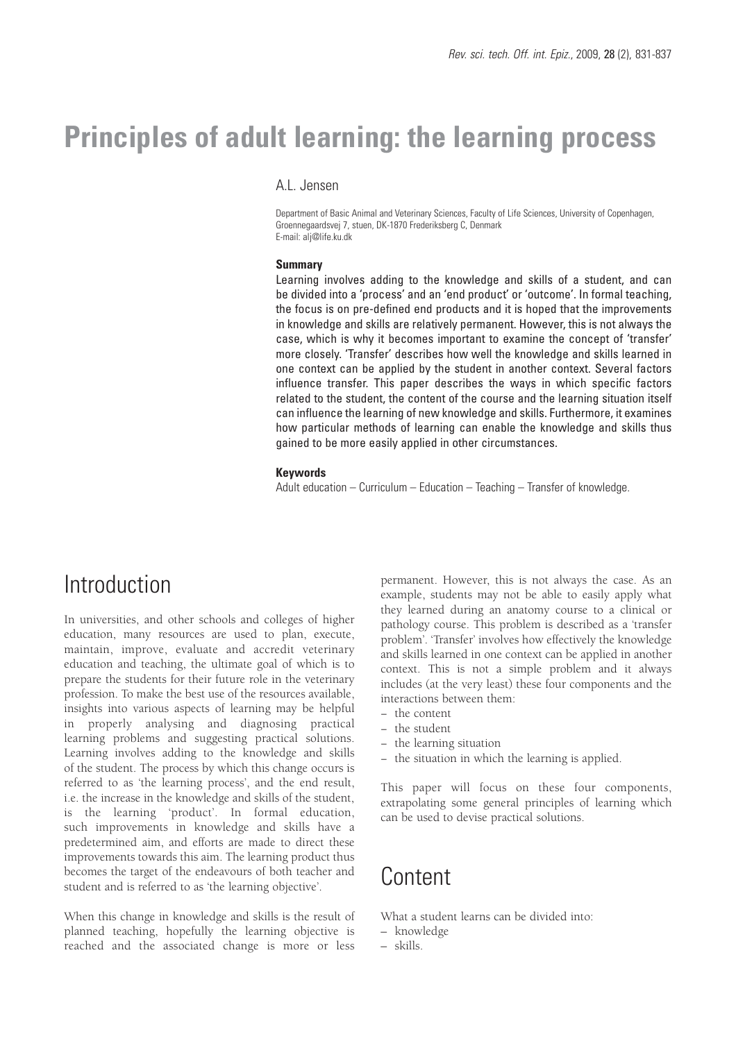# **Principles of adult learning: the learning process**

## A.L. Jensen

Department of Basic Animal and Veterinary Sciences, Faculty of Life Sciences, University of Copenhagen, Groennegaardsvej 7, stuen, DK-1870 Frederiksberg C, Denmark E-mail: alj@life.ku.dk

### **Summary**

Learning involves adding to the knowledge and skills of a student, and can be divided into a 'process' and an 'end product' or 'outcome'. In formal teaching, the focus is on pre-defined end products and it is hoped that the improvements in knowledge and skills are relatively permanent. However, this is not always the case, which is why it becomes important to examine the concept of 'transfer' more closely. 'Transfer' describes how well the knowledge and skills learned in one context can be applied by the student in another context. Several factors influence transfer. This paper describes the ways in which specific factors related to the student, the content of the course and the learning situation itself can influence the learning of new knowledge and skills. Furthermore, it examines how particular methods of learning can enable the knowledge and skills thus gained to be more easily applied in other circumstances.

#### **Keywords**

Adult education – Curriculum – Education – Teaching – Transfer of knowledge.

# **Introduction**

In universities, and other schools and colleges of higher education, many resources are used to plan, execute, maintain, improve, evaluate and accredit veterinary education and teaching, the ultimate goal of which is to prepare the students for their future role in the veterinary profession. To make the best use of the resources available, insights into various aspects of learning may be helpful in properly analysing and diagnosing practical learning problems and suggesting practical solutions. Learning involves adding to the knowledge and skills of the student. The process by which this change occurs is referred to as 'the learning process', and the end result, i.e. the increase in the knowledge and skills of the student, is the learning 'product'. In formal education, such improvements in knowledge and skills have a predetermined aim, and efforts are made to direct these improvements towards this aim. The learning product thus becomes the target of the endeavours of both teacher and student and is referred to as 'the learning objective'.

When this change in knowledge and skills is the result of planned teaching, hopefully the learning objective is reached and the associated change is more or less

permanent. However, this is not always the case. As an example, students may not be able to easily apply what they learned during an anatomy course to a clinical or pathology course. This problem is described as a 'transfer problem'. 'Transfer' involves how effectively the knowledge and skills learned in one context can be applied in another context. This is not a simple problem and it always includes (at the very least) these four components and the interactions between them:

- − the content
- − the student
- − the learning situation
- − the situation in which the learning is applied.

This paper will focus on these four components, extrapolating some general principles of learning which can be used to devise practical solutions.

## Content

What a student learns can be divided into:

- knowledge
- skills.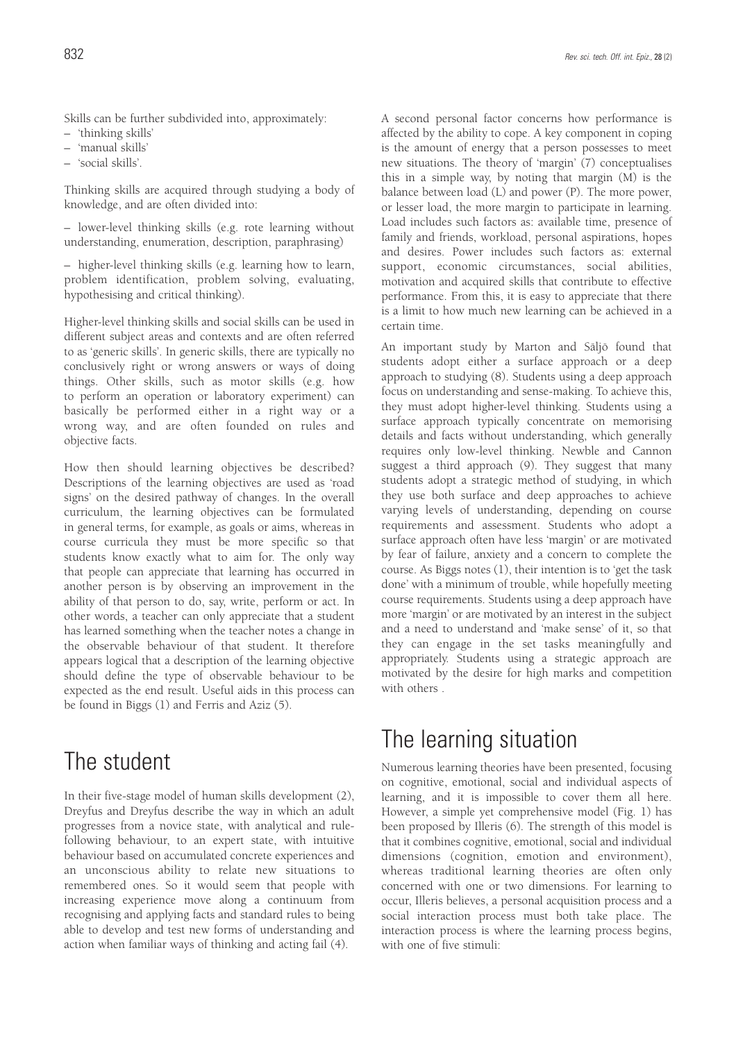Skills can be further subdivided into, approximately:

- 'thinking skills'
- 'manual skills'
- 'social skills'.

Thinking skills are acquired through studying a body of knowledge, and are often divided into:

– lower-level thinking skills (e.g. rote learning without understanding, enumeration, description, paraphrasing)

– higher-level thinking skills (e.g. learning how to learn, problem identification, problem solving, evaluating, hypothesising and critical thinking).

Higher-level thinking skills and social skills can be used in different subject areas and contexts and are often referred to as 'generic skills'. In generic skills, there are typically no conclusively right or wrong answers or ways of doing things. Other skills, such as motor skills (e.g. how to perform an operation or laboratory experiment) can basically be performed either in a right way or a wrong way, and are often founded on rules and objective facts.

How then should learning objectives be described? Descriptions of the learning objectives are used as 'road signs' on the desired pathway of changes. In the overall curriculum, the learning objectives can be formulated in general terms, for example, as goals or aims, whereas in course curricula they must be more specific so that students know exactly what to aim for. The only way that people can appreciate that learning has occurred in another person is by observing an improvement in the ability of that person to do, say, write, perform or act. In other words, a teacher can only appreciate that a student has learned something when the teacher notes a change in the observable behaviour of that student. It therefore appears logical that a description of the learning objective should define the type of observable behaviour to be expected as the end result. Useful aids in this process can be found in Biggs (1) and Ferris and Aziz (5).

# The student

In their five-stage model of human skills development (2), Dreyfus and Dreyfus describe the way in which an adult progresses from a novice state, with analytical and rulefollowing behaviour, to an expert state, with intuitive behaviour based on accumulated concrete experiences and an unconscious ability to relate new situations to remembered ones. So it would seem that people with increasing experience move along a continuum from recognising and applying facts and standard rules to being able to develop and test new forms of understanding and action when familiar ways of thinking and acting fail (4).

A second personal factor concerns how performance is affected by the ability to cope. A key component in coping is the amount of energy that a person possesses to meet new situations. The theory of 'margin' (7) conceptualises this in a simple way, by noting that margin (M) is the balance between load (L) and power (P). The more power, or lesser load, the more margin to participate in learning. Load includes such factors as: available time, presence of family and friends, workload, personal aspirations, hopes and desires. Power includes such factors as: external support, economic circumstances, social abilities, motivation and acquired skills that contribute to effective performance. From this, it is easy to appreciate that there is a limit to how much new learning can be achieved in a certain time.

An important study by Marton and Säljö found that students adopt either a surface approach or a deep approach to studying (8). Students using a deep approach focus on understanding and sense-making. To achieve this, they must adopt higher-level thinking. Students using a surface approach typically concentrate on memorising details and facts without understanding, which generally requires only low-level thinking. Newble and Cannon suggest a third approach (9). They suggest that many students adopt a strategic method of studying, in which they use both surface and deep approaches to achieve varying levels of understanding, depending on course requirements and assessment. Students who adopt a surface approach often have less 'margin' or are motivated by fear of failure, anxiety and a concern to complete the course. As Biggs notes (1), their intention is to 'get the task done' with a minimum of trouble, while hopefully meeting course requirements. Students using a deep approach have more 'margin' or are motivated by an interest in the subject and a need to understand and 'make sense' of it, so that they can engage in the set tasks meaningfully and appropriately. Students using a strategic approach are motivated by the desire for high marks and competition with others

# The learning situation

Numerous learning theories have been presented, focusing on cognitive, emotional, social and individual aspects of learning, and it is impossible to cover them all here. However, a simple yet comprehensive model (Fig. 1) has been proposed by Illeris (6). The strength of this model is that it combines cognitive, emotional, social and individual dimensions (cognition, emotion and environment), whereas traditional learning theories are often only concerned with one or two dimensions. For learning to occur, Illeris believes, a personal acquisition process and a social interaction process must both take place. The interaction process is where the learning process begins, with one of five stimuli: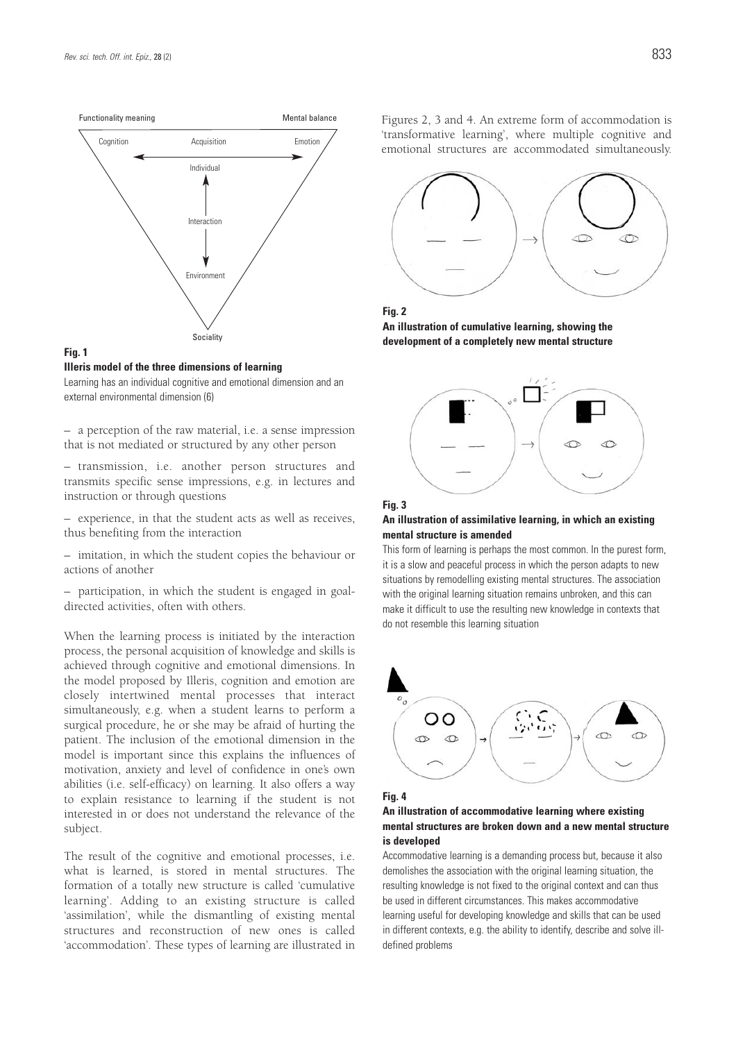

### **Fig. 1**

**Illeris model of the three dimensions of learning**

Learning has an individual cognitive and emotional dimension and an external environmental dimension (6)

– a perception of the raw material, i.e. a sense impression that is not mediated or structured by any other person

– transmission, i.e. another person structures and transmits specific sense impressions, e.g. in lectures and instruction or through questions

– experience, in that the student acts as well as receives, thus benefiting from the interaction

– imitation, in which the student copies the behaviour or actions of another

– participation, in which the student is engaged in goaldirected activities, often with others.

When the learning process is initiated by the interaction process, the personal acquisition of knowledge and skills is achieved through cognitive and emotional dimensions. In the model proposed by Illeris, cognition and emotion are closely intertwined mental processes that interact simultaneously, e.g. when a student learns to perform a surgical procedure, he or she may be afraid of hurting the patient. The inclusion of the emotional dimension in the model is important since this explains the influences of motivation, anxiety and level of confidence in one's own abilities (i.e. self-efficacy) on learning. It also offers a way to explain resistance to learning if the student is not interested in or does not understand the relevance of the subject.

The result of the cognitive and emotional processes, i.e. what is learned, is stored in mental structures. The formation of a totally new structure is called 'cumulative learning'. Adding to an existing structure is called 'assimilation', while the dismantling of existing mental structures and reconstruction of new ones is called 'accommodation'. These types of learning are illustrated in Figures 2, 3 and 4. An extreme form of accommodation is 'transformative learning', where multiple cognitive and emotional structures are accommodated simultaneously.





**An illustration of cumulative learning, showing the development of a completely new mental structure**



### **Fig. 3**

#### **An illustration of assimilative learning, in which an existing mental structure is amended**

This form of learning is perhaps the most common. In the purest form, it is a slow and peaceful process in which the person adapts to new situations by remodelling existing mental structures. The association with the original learning situation remains unbroken, and this can make it difficult to use the resulting new knowledge in contexts that do not resemble this learning situation





### **An illustration of accommodative learning where existing mental structures are broken down and a new mental structure is developed**

Accommodative learning is a demanding process but, because it also demolishes the association with the original learning situation, the resulting knowledge is not fixed to the original context and can thus be used in different circumstances. This makes accommodative learning useful for developing knowledge and skills that can be used in different contexts, e.g. the ability to identify, describe and solve illdefined problems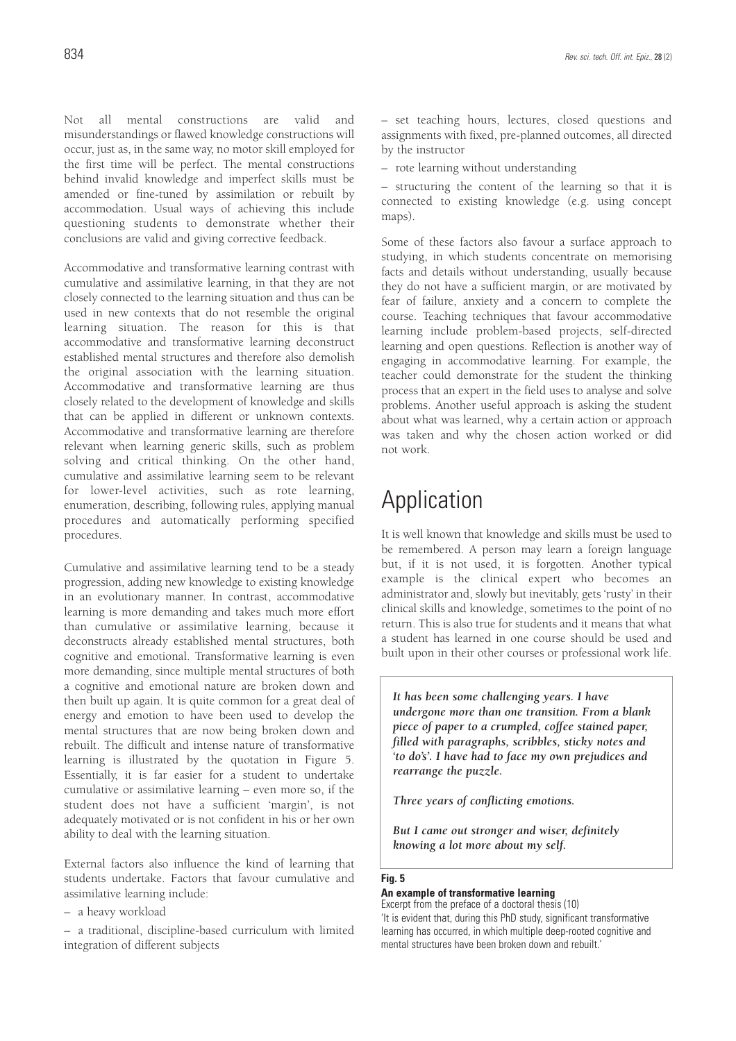Not all mental constructions are valid and misunderstandings or flawed knowledge constructions will occur, just as, in the same way, no motor skill employed for the first time will be perfect. The mental constructions behind invalid knowledge and imperfect skills must be amended or fine-tuned by assimilation or rebuilt by accommodation. Usual ways of achieving this include questioning students to demonstrate whether their conclusions are valid and giving corrective feedback.

Accommodative and transformative learning contrast with cumulative and assimilative learning, in that they are not closely connected to the learning situation and thus can be used in new contexts that do not resemble the original learning situation. The reason for this is that accommodative and transformative learning deconstruct established mental structures and therefore also demolish the original association with the learning situation. Accommodative and transformative learning are thus closely related to the development of knowledge and skills that can be applied in different or unknown contexts. Accommodative and transformative learning are therefore relevant when learning generic skills, such as problem solving and critical thinking. On the other hand, cumulative and assimilative learning seem to be relevant for lower-level activities, such as rote learning, enumeration, describing, following rules, applying manual procedures and automatically performing specified procedures.

Cumulative and assimilative learning tend to be a steady progression, adding new knowledge to existing knowledge in an evolutionary manner. In contrast, accommodative learning is more demanding and takes much more effort than cumulative or assimilative learning, because it deconstructs already established mental structures, both cognitive and emotional. Transformative learning is even more demanding, since multiple mental structures of both a cognitive and emotional nature are broken down and then built up again. It is quite common for a great deal of energy and emotion to have been used to develop the mental structures that are now being broken down and rebuilt. The difficult and intense nature of transformative learning is illustrated by the quotation in Figure 5. Essentially, it is far easier for a student to undertake cumulative or assimilative learning – even more so, if the student does not have a sufficient 'margin', is not adequately motivated or is not confident in his or her own ability to deal with the learning situation.

External factors also influence the kind of learning that students undertake. Factors that favour cumulative and assimilative learning include:

– a heavy workload

– a traditional, discipline-based curriculum with limited integration of different subjects

– set teaching hours, lectures, closed questions and assignments with fixed, pre-planned outcomes, all directed by the instructor

– rote learning without understanding

– structuring the content of the learning so that it is connected to existing knowledge (e.g. using concept maps).

Some of these factors also favour a surface approach to studying, in which students concentrate on memorising facts and details without understanding, usually because they do not have a sufficient margin, or are motivated by fear of failure, anxiety and a concern to complete the course. Teaching techniques that favour accommodative learning include problem-based projects, self-directed learning and open questions. Reflection is another way of engaging in accommodative learning. For example, the teacher could demonstrate for the student the thinking process that an expert in the field uses to analyse and solve problems. Another useful approach is asking the student about what was learned, why a certain action or approach was taken and why the chosen action worked or did not work.

# Application

It is well known that knowledge and skills must be used to be remembered. A person may learn a foreign language but, if it is not used, it is forgotten. Another typical example is the clinical expert who becomes an administrator and, slowly but inevitably, gets 'rusty' in their clinical skills and knowledge, sometimes to the point of no return. This is also true for students and it means that what a student has learned in one course should be used and built upon in their other courses or professional work life.

*It has been some challenging years. I have undergone more than one transition. From a blank piece of paper to a crumpled, coffee stained paper, filled with paragraphs, scribbles, sticky notes and 'to do's'. I have had to face my own prejudices and rearrange the puzzle.*

*Three years of conflicting emotions.*

*But I came out stronger and wiser, definitely knowing a lot more about my self.*

### **Fig. 5**

### **An example of transformative learning**

Excerpt from the preface of a doctoral thesis (10) 'It is evident that, during this PhD study, significant transformative learning has occurred, in which multiple deep-rooted cognitive and mental structures have been broken down and rebuilt.'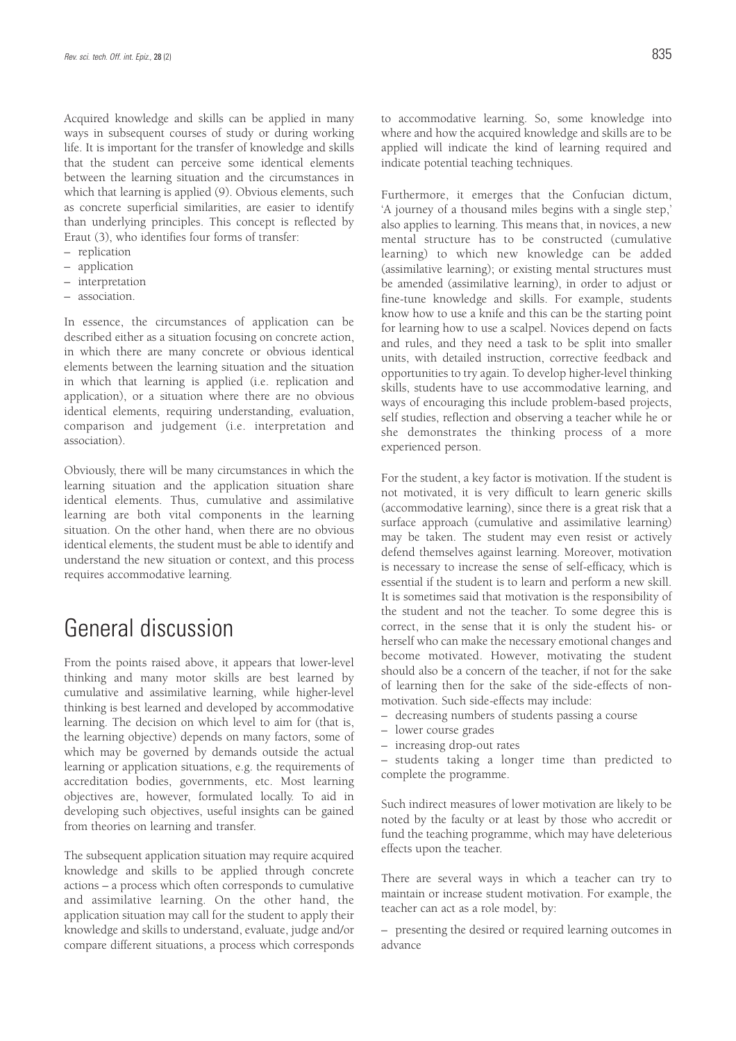Acquired knowledge and skills can be applied in many ways in subsequent courses of study or during working life. It is important for the transfer of knowledge and skills that the student can perceive some identical elements between the learning situation and the circumstances in which that learning is applied (9). Obvious elements, such as concrete superficial similarities, are easier to identify than underlying principles. This concept is reflected by Eraut (3), who identifies four forms of transfer:

- replication
- application
- interpretation
- association.

In essence, the circumstances of application can be described either as a situation focusing on concrete action, in which there are many concrete or obvious identical elements between the learning situation and the situation in which that learning is applied (i.e. replication and application), or a situation where there are no obvious identical elements, requiring understanding, evaluation, comparison and judgement (i.e. interpretation and association).

Obviously, there will be many circumstances in which the learning situation and the application situation share identical elements. Thus, cumulative and assimilative learning are both vital components in the learning situation. On the other hand, when there are no obvious identical elements, the student must be able to identify and understand the new situation or context, and this process requires accommodative learning.

# General discussion

From the points raised above, it appears that lower-level thinking and many motor skills are best learned by cumulative and assimilative learning, while higher-level thinking is best learned and developed by accommodative learning. The decision on which level to aim for (that is, the learning objective) depends on many factors, some of which may be governed by demands outside the actual learning or application situations, e.g. the requirements of accreditation bodies, governments, etc. Most learning objectives are, however, formulated locally. To aid in developing such objectives, useful insights can be gained from theories on learning and transfer.

The subsequent application situation may require acquired knowledge and skills to be applied through concrete actions – a process which often corresponds to cumulative and assimilative learning. On the other hand, the application situation may call for the student to apply their knowledge and skills to understand, evaluate, judge and/or compare different situations, a process which corresponds to accommodative learning. So, some knowledge into where and how the acquired knowledge and skills are to be applied will indicate the kind of learning required and indicate potential teaching techniques.

Furthermore, it emerges that the Confucian dictum, 'A journey of a thousand miles begins with a single step,' also applies to learning. This means that, in novices, a new mental structure has to be constructed (cumulative learning) to which new knowledge can be added (assimilative learning); or existing mental structures must be amended (assimilative learning), in order to adjust or fine-tune knowledge and skills. For example, students know how to use a knife and this can be the starting point for learning how to use a scalpel. Novices depend on facts and rules, and they need a task to be split into smaller units, with detailed instruction, corrective feedback and opportunities to try again. To develop higher-level thinking skills, students have to use accommodative learning, and ways of encouraging this include problem-based projects, self studies, reflection and observing a teacher while he or she demonstrates the thinking process of a more experienced person.

For the student, a key factor is motivation. If the student is not motivated, it is very difficult to learn generic skills (accommodative learning), since there is a great risk that a surface approach (cumulative and assimilative learning) may be taken. The student may even resist or actively defend themselves against learning. Moreover, motivation is necessary to increase the sense of self-efficacy, which is essential if the student is to learn and perform a new skill. It is sometimes said that motivation is the responsibility of the student and not the teacher. To some degree this is correct, in the sense that it is only the student his- or herself who can make the necessary emotional changes and become motivated. However, motivating the student should also be a concern of the teacher, if not for the sake of learning then for the sake of the side-effects of nonmotivation. Such side-effects may include:

- decreasing numbers of students passing a course
- lower course grades
- increasing drop-out rates

– students taking a longer time than predicted to complete the programme.

Such indirect measures of lower motivation are likely to be noted by the faculty or at least by those who accredit or fund the teaching programme, which may have deleterious effects upon the teacher.

There are several ways in which a teacher can try to maintain or increase student motivation. For example, the teacher can act as a role model, by:

– presenting the desired or required learning outcomes in advance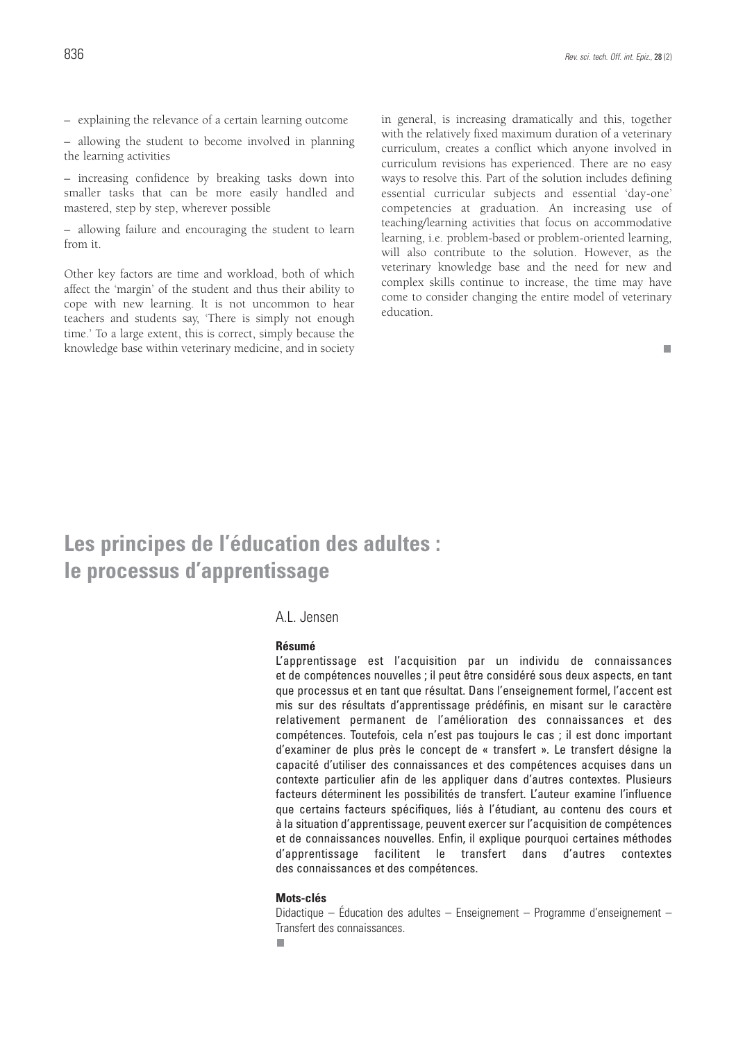$\Box$ 

– explaining the relevance of a certain learning outcome

– allowing the student to become involved in planning the learning activities

– increasing confidence by breaking tasks down into smaller tasks that can be more easily handled and mastered, step by step, wherever possible

– allowing failure and encouraging the student to learn from it.

Other key factors are time and workload, both of which affect the 'margin' of the student and thus their ability to cope with new learning. It is not uncommon to hear teachers and students say, 'There is simply not enough time.' To a large extent, this is correct, simply because the knowledge base within veterinary medicine, and in society in general, is increasing dramatically and this, together with the relatively fixed maximum duration of a veterinary curriculum, creates a conflict which anyone involved in curriculum revisions has experienced. There are no easy ways to resolve this. Part of the solution includes defining essential curricular subjects and essential 'day-one' competencies at graduation. An increasing use of teaching/learning activities that focus on accommodative learning, i.e. problem-based or problem-oriented learning, will also contribute to the solution. However, as the veterinary knowledge base and the need for new and complex skills continue to increase, the time may have come to consider changing the entire model of veterinary education.

# **Les principes de l'éducation des adultes : le processus d'apprentissage**

### A.L. Jensen

### **Résumé**

L'apprentissage est l'acquisition par un individu de connaissances et de compétences nouvelles ; il peut être considéré sous deux aspects, en tant que processus et en tant que résultat. Dans l'enseignement formel, l'accent est mis sur des résultats d'apprentissage prédéfinis, en misant sur le caractère relativement permanent de l'amélioration des connaissances et des compétences. Toutefois, cela n'est pas toujours le cas ; il est donc important d'examiner de plus près le concept de « transfert ». Le transfert désigne la capacité d'utiliser des connaissances et des compétences acquises dans un contexte particulier afin de les appliquer dans d'autres contextes. Plusieurs facteurs déterminent les possibilités de transfert. L'auteur examine l'influence que certains facteurs spécifiques, liés à l'étudiant, au contenu des cours et à la situation d'apprentissage, peuvent exercer sur l'acquisition de compétences et de connaissances nouvelles. Enfin, il explique pourquoi certaines méthodes d'apprentissage facilitent le transfert dans d'autres contextes des connaissances et des compétences.

### **Mots-clés**

Didactique – Éducation des adultes – Enseignement – Programme d'enseignement – Transfert des connaissances.٠